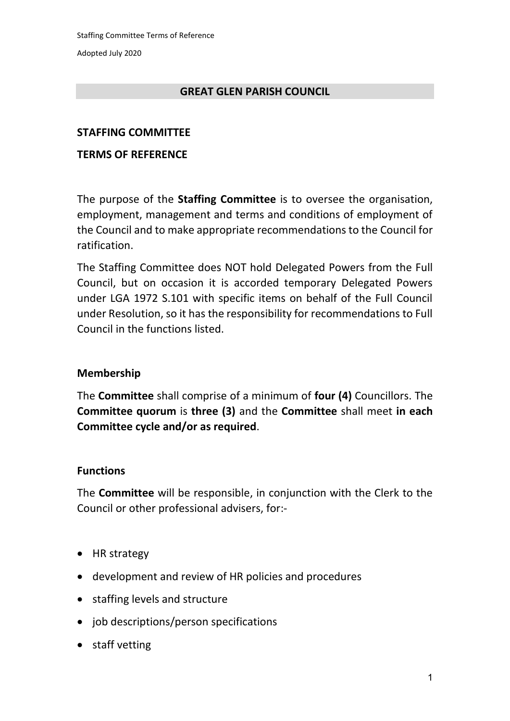Adopted July 2020

### **GREAT GLEN PARISH COUNCIL**

### **STAFFING COMMITTEE**

### **TERMS OF REFERENCE**

The purpose of the **Staffing Committee** is to oversee the organisation, employment, management and terms and conditions of employment of the Council and to make appropriate recommendations to the Council for ratification.

The Staffing Committee does NOT hold Delegated Powers from the Full Council, but on occasion it is accorded temporary Delegated Powers under LGA 1972 S.101 with specific items on behalf of the Full Council under Resolution, so it has the responsibility for recommendations to Full Council in the functions listed.

# **Membership**

The **Committee** shall comprise of a minimum of **four (4)** Councillors. The **Committee quorum** is **three (3)** and the **Committee** shall meet **in each Committee cycle and/or as required**.

### **Functions**

The **Committee** will be responsible, in conjunction with the Clerk to the Council or other professional advisers, for:-

- HR strategy
- development and review of HR policies and procedures
- staffing levels and structure
- job descriptions/person specifications
- staff vetting